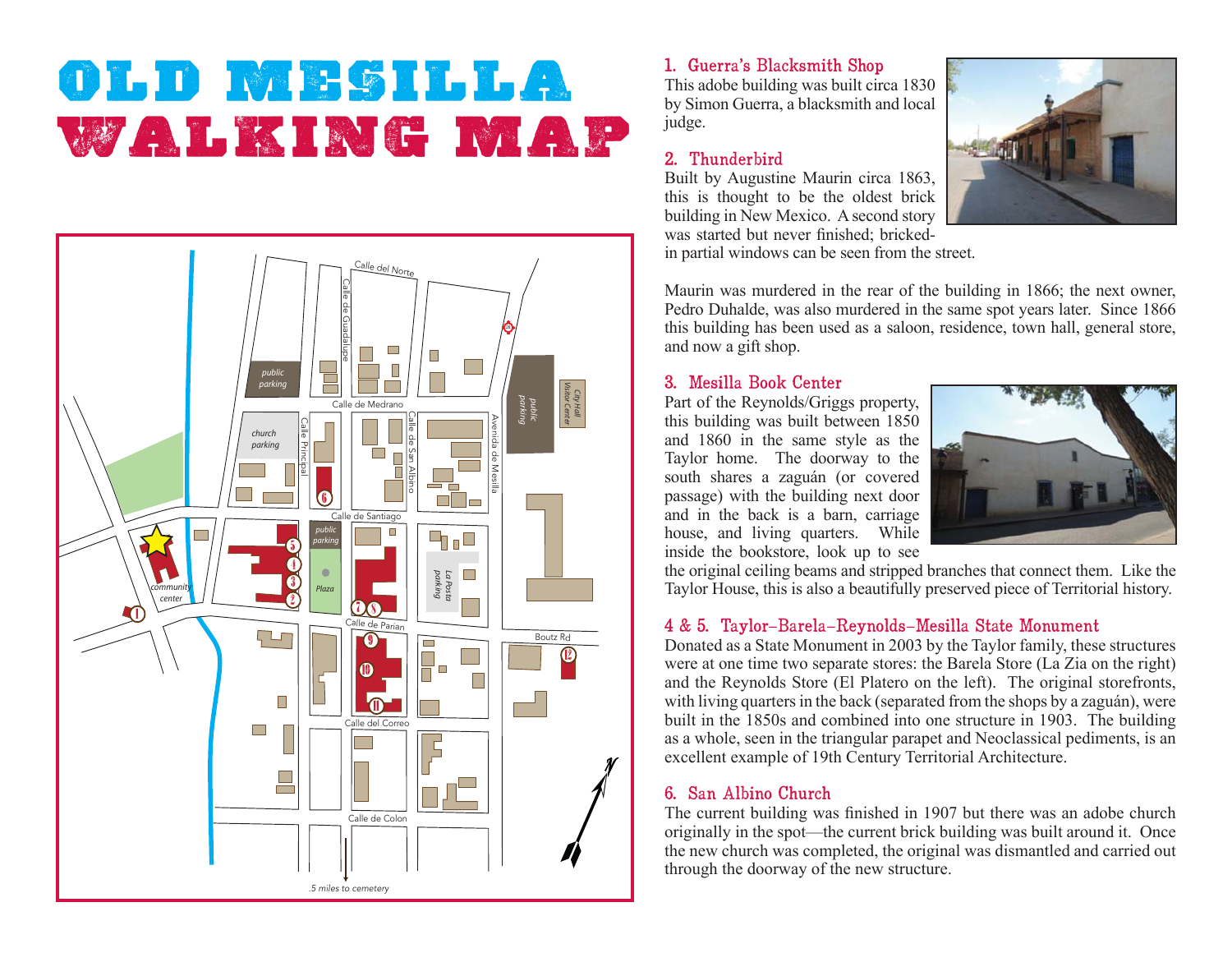# **OLD MESILLA**WALKING MAP



## 1. Guerra's Blacksmith Shop

This adobe building was built circa 1830 by Simon Guerra, a blacksmith and local judge.

#### 2. Thunderbird

Built by Augustine Maurin circa 1863, this is thought to be the oldest brick building in New Mexico. A second story was started but never finished; brickedin partial windows can be seen from the street.



Maurin was murdered in the rear of the building in 1866; the next owner, Pedro Duhalde, was also murdered in the same spot years later. Since 1866 this building has been used as a saloon, residence, town hall, general store, and now a gift shop.

## 3. Mesilla Book Center

Part of the Reynolds/Griggs property, this building was built between 1850 and 1860 in the same style as the Taylor home. The doorway to the south shares a zaguán (or covered passage) with the building next door and in the back is a barn, carriage house, and living quarters. While inside the bookstore, look up to see



the original ceiling beams and stripped branches that connect them. Like the Taylor House, this is also a beautifully preserved piece of Territorial history.

## 4 & 5. Taylor-Barela-Reynolds-Mesilla State Monument

Donated as a State Monument in 2003 by the Taylor family, these structures were at one time two separate stores: the Barela Store (La Zia on the right) and the Reynolds Store (El Platero on the left). The original storefronts, with living quarters in the back (separated from the shops by a zaguán), were built in the 1850s and combined into one structure in 1903. The building as a whole, seen in the triangular parapet and Neoclassical pediments, is an excellent example of 19th Century Territorial Architecture.

#### 6. San Albino Church

The current building was finished in 1907 but there was an adobe church originally in the spot—the current brick building was built around it. Once the new church was completed, the original was dismantled and carried out through the doorway of the new structure.